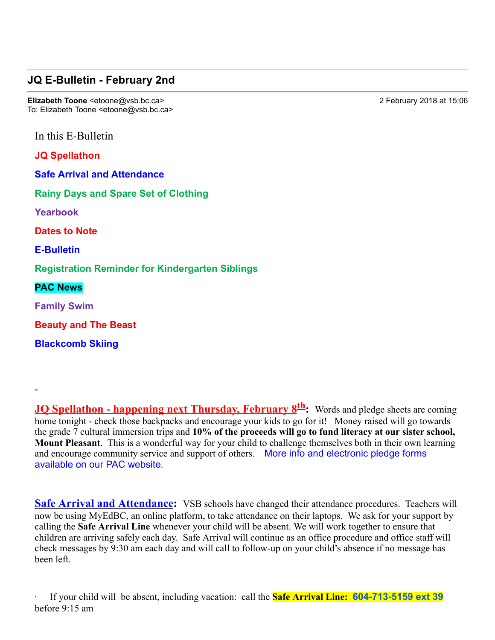## **JQ E-Bulletin - February 2nd**

**Elizabeth Toone** <etoone@vsb.bc.ca> 2 February 2018 at 15:06 To: Elizabeth Toone <etoone@vsb.bc.ca>

In this E-Bulletin

**JQ Spellathon**

**Safe Arrival and Attendance**

**Rainy Days and Spare Set of Clothing**

**Yearbook** 

**Dates to Note**

**E-Bulletin** 

**Registration Reminder for Kindergarten Siblings**

**PAC News**

**Family Swim**

**Beauty and The Beast**

**Blackcomb Skiing**

**JO** Spellathon - happening next Thursday, February  $8^{th}$ : Words and pledge sheets are coming home tonight - check those backpacks and encourage your kids to go for it! Money raised will go towards the grade 7 cultural immersion trips and **10% of the proceeds will go to fund literacy at our sister school, Mount Pleasant**. This is a wonderful way for your child to challenge themselves both in their own learning and encourage community service and support of others. More info and electronic pledge forms available on our PAC website.

**Safe Arrival and Attendance:** VSB schools have changed their attendance procedures. Teachers will now be using MyEdBC, an online platform, to take attendance on their laptops. We ask for your support by calling the **Safe Arrival Line** whenever your child will be absent. We will work together to ensure that children are arriving safely each day. Safe Arrival will continue as an office procedure and office staff will check messages by 9:30 am each day and will call to follow-up on your child's absence if no message has been left.

· If your child will be absent, including vacation: call the **Safe Arrival Line: 6047135159 ext 39** before 9:15 am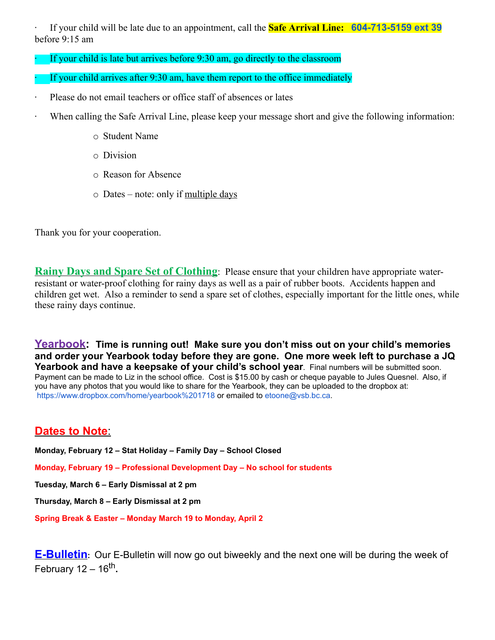If your child will be late due to an appointment, call the **Safe Arrival Line: 604-713-5159 ext 39** before 9:15 am

- If your child is late but arrives before  $9:30$  am, go directly to the classroom
- If your child arrives after  $9:30$  am, have them report to the office immediately
- Please do not email teachers or office staff of absences or lates
- · When calling the Safe Arrival Line, please keep your message short and give the following information:
	- o Student Name
	- o Division
	- o Reason for Absence
	- $\circ$  Dates note: only if <u>multiple days</u>

Thank you for your cooperation.

**Rainy Days and Spare Set of Clothing**: Please ensure that your children have appropriate waterresistant or water-proof clothing for rainy days as well as a pair of rubber boots. Accidents happen and children get wet. Also a reminder to send a spare set of clothes, especially important for the little ones, while these rainy days continue.

**Yearbook: Time is running out! Make sure you don't miss out on your child's memories and order your Yearbook today before they are gone. One more week left to purchase a JQ** Yearbook and have a keepsake of your child's school year. Final numbers will be submitted soon. Payment can be made to Liz in the school office. Cost is \$15.00 by cash or cheque payable to Jules Quesnel. Also, if you have any photos that you would like to share for the Yearbook, they can be uploaded to the dropbox at: https://www.dropbox.com/home/yearbook%201718 or emailed to etoone@vsb.bc.ca.

### **Dates to Note**:

**Monday, February 12 – Stat Holiday – Family Day – School Closed**

**Monday, February 19 – Professional Development Day – No school for students**

**Tuesday, March 6 – Early Dismissal at 2 pm**

**Thursday, March 8 – Early Dismissal at 2 pm**

**Spring Break & Easter – Monday March 19 to Monday, April 2**

**E-Bulletin**: Our E-Bulletin will now go out biweekly and the next one will be during the week of February 12 – 16th**.**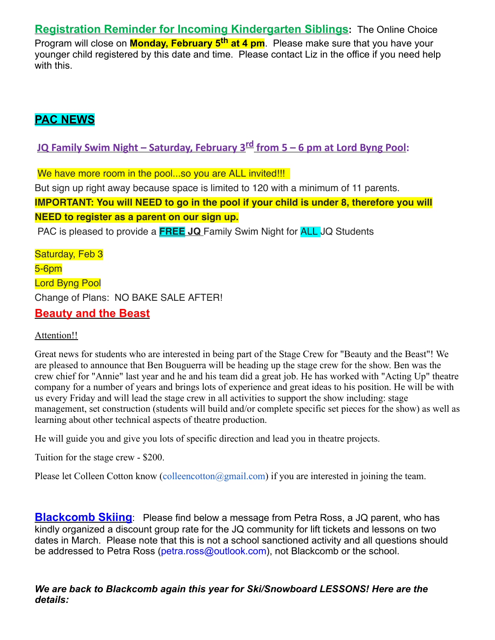**Registration Reminder for Incoming Kindergarten Siblings:** The Online Choice Program will close on **Monday, February 5th at 4 pm**. Please make sure that you have your younger child registered by this date and time. Please contact Liz in the office if you need help with this.

# **PAC NEWS**

**JQ Family Swim Night – Saturday, February 3rd from 5 – 6 pm at Lord Byng Pool:**

We have more room in the pool...so you are ALL invited!!!

But sign up right away because space is limited to 120 with a minimum of 11 parents.

**IMPORTANT: You will NEED to go in the pool if your child is under 8, therefore you will**

**NEED to register as a parent on our sign up.**

PAC is pleased to provide a **FREE JQ** Family Swim Night for ALL JQ Students

Saturday, Feb 3 5-6pm Lord Byng Pool Change of Plans: NO BAKE SALE AFTER! **Beauty and the Beast**

#### Attention!!

Great news for students who are interested in being part of the Stage Crew for "Beauty and the Beast"! We are pleased to announce that Ben Bouguerra will be heading up the stage crew for the show. Ben was the crew chief for "Annie" last year and he and his team did a great job. He has worked with "Acting Up" theatre company for a number of years and brings lots of experience and great ideas to his position. He will be with us every Friday and will lead the stage crew in all activities to support the show including: stage management, set construction (students will build and/or complete specific set pieces for the show) as well as learning about other technical aspects of theatre production.

He will guide you and give you lots of specific direction and lead you in theatre projects.

Tuition for the stage crew - \$200.

Please let Colleen Cotton know (colleencotton@gmail.com) if you are interested in joining the team.

**Blackcomb Skiing**: Please find below a message from Petra Ross, a JQ parent, who has kindly organized a discount group rate for the JQ community for lift tickets and lessons on two dates in March. Please note that this is not a school sanctioned activity and all questions should be addressed to Petra Ross (petra.ross@outlook.com), not Blackcomb or the school.

*We are back to Blackcomb again this year for Ski/Snowboard LESSONS! Here are the details:*